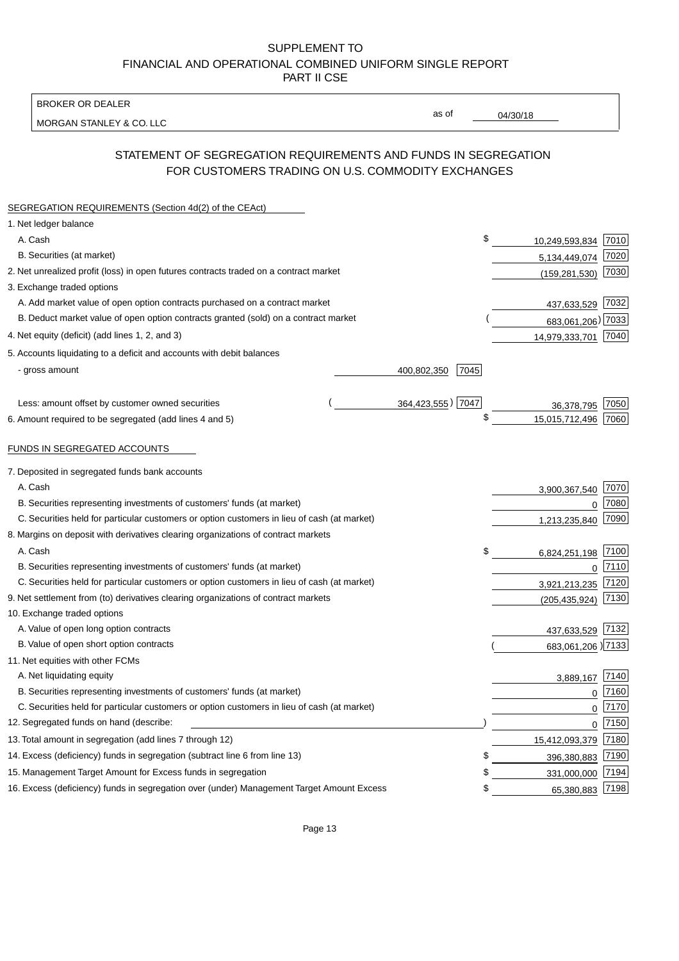BROKER OR DEALER

MORGAN STANLEY & CO. LLC

04/30/18

as of

# STATEMENT OF SEGREGATION REQUIREMENTS AND FUNDS IN SEGREGATION FOR CUSTOMERS TRADING ON U.S. COMMODITY EXCHANGES

| SEGREGATION REQUIREMENTS (Section 4d(2) of the CEAct)                                       |                     |    |                   |      |
|---------------------------------------------------------------------------------------------|---------------------|----|-------------------|------|
| 1. Net ledger balance                                                                       |                     |    |                   |      |
| A. Cash                                                                                     |                     | \$ | 10,249,593,834    | 7010 |
| B. Securities (at market)                                                                   |                     |    | 5,134,449,074     | 7020 |
| 2. Net unrealized profit (loss) in open futures contracts traded on a contract market       |                     |    | (159, 281, 530)   | 7030 |
| 3. Exchange traded options                                                                  |                     |    |                   |      |
| A. Add market value of open option contracts purchased on a contract market                 |                     |    | 437,633,529       | 7032 |
| B. Deduct market value of open option contracts granted (sold) on a contract market         |                     |    | 683,061,206) 7033 |      |
| 4. Net equity (deficit) (add lines 1, 2, and 3)                                             |                     |    | 14,979,333,701    | 7040 |
| 5. Accounts liquidating to a deficit and accounts with debit balances                       |                     |    |                   |      |
| - gross amount                                                                              | 400,802,350<br>7045 |    |                   |      |
|                                                                                             |                     |    |                   |      |
| Less: amount offset by customer owned securities                                            | 364,423,555) 7047   |    | 36,378,795        | 7050 |
| 6. Amount required to be segregated (add lines 4 and 5)                                     |                     | \$ | 15,015,712,496    | 7060 |
|                                                                                             |                     |    |                   |      |
| FUNDS IN SEGREGATED ACCOUNTS                                                                |                     |    |                   |      |
| 7. Deposited in segregated funds bank accounts                                              |                     |    |                   |      |
| A. Cash                                                                                     |                     |    | 3,900,367,540     | 7070 |
| B. Securities representing investments of customers' funds (at market)                      |                     |    | $\Omega$          | 7080 |
| C. Securities held for particular customers or option customers in lieu of cash (at market) |                     |    | 1,213,235,840     | 7090 |
| 8. Margins on deposit with derivatives clearing organizations of contract markets           |                     |    |                   |      |
| A. Cash                                                                                     |                     | \$ | 6,824,251,198     | 7100 |
| B. Securities representing investments of customers' funds (at market)                      |                     |    | $\mathbf{0}$      | 7110 |
| C. Securities held for particular customers or option customers in lieu of cash (at market) |                     |    | 3,921,213,235     | 7120 |
| 9. Net settlement from (to) derivatives clearing organizations of contract markets          |                     |    | (205, 435, 924)   | 7130 |
| 10. Exchange traded options                                                                 |                     |    |                   |      |
| A. Value of open long option contracts                                                      |                     |    | 437,633,529       | 7132 |
| B. Value of open short option contracts                                                     |                     |    | 683,061,206) 7133 |      |
| 11. Net equities with other FCMs                                                            |                     |    |                   |      |
| A. Net liquidating equity                                                                   |                     |    | 3,889,167         | 7140 |
| B. Securities representing investments of customers' funds (at market)                      |                     |    | $\mathbf 0$       | 7160 |
| C. Securities held for particular customers or option customers in lieu of cash (at market) |                     |    | $\mathbf 0$       | 7170 |
| 12. Segregated funds on hand (describe:                                                     |                     |    | 0                 | 7150 |
| 13. Total amount in segregation (add lines 7 through 12)                                    |                     |    | 15,412,093,379    | 7180 |
| 14. Excess (deficiency) funds in segregation (subtract line 6 from line 13)                 |                     | S  | 396,380,883       | 7190 |
| 15. Management Target Amount for Excess funds in segregation                                |                     | \$ | 331,000,000       | 7194 |
| 16. Excess (deficiency) funds in segregation over (under) Management Target Amount Excess   |                     | \$ | 65,380,883        | 7198 |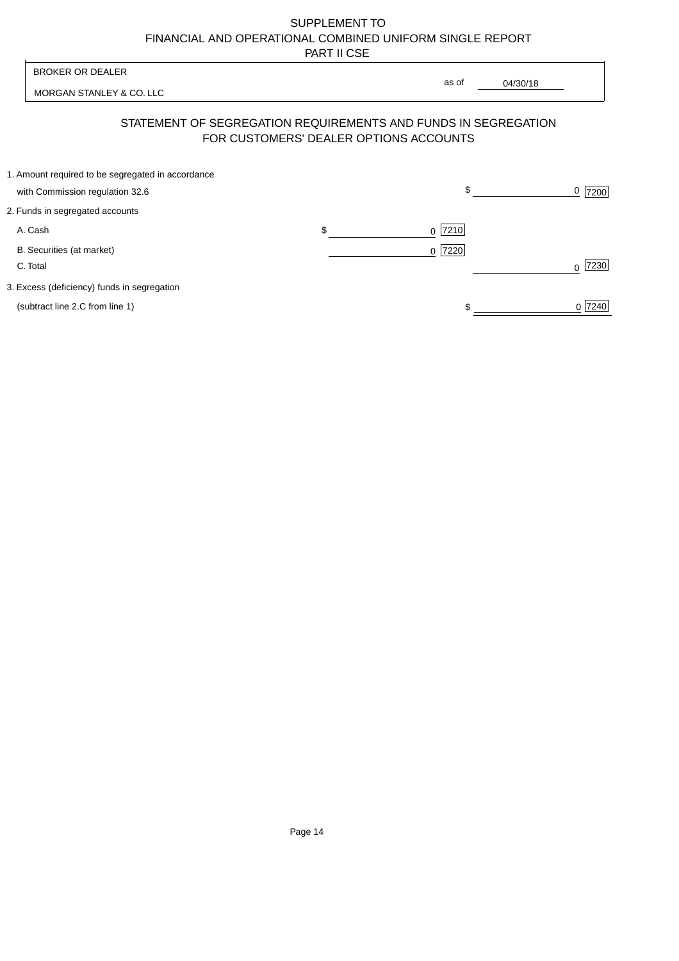| <b>BROKER OR DEALER</b>                                                              | as of                                  |          |                  |
|--------------------------------------------------------------------------------------|----------------------------------------|----------|------------------|
| MORGAN STANLEY & CO. LLC                                                             |                                        | 04/30/18 |                  |
| STATEMENT OF SEGREGATION REQUIREMENTS AND FUNDS IN SEGREGATION                       | FOR CUSTOMERS' DEALER OPTIONS ACCOUNTS |          |                  |
| 1. Amount required to be segregated in accordance<br>with Commission regulation 32.6 | \$                                     |          | 0<br>7200        |
| 2. Funds in segregated accounts                                                      |                                        |          |                  |
| A. Cash                                                                              | \$<br>7210<br><sup>0</sup>             |          |                  |
| B. Securities (at market)<br>C. Total                                                | $0$  7220                              |          | 7230<br>$\Omega$ |
| 3. Excess (deficiency) funds in segregation                                          |                                        |          |                  |
| (subtract line 2.C from line 1)                                                      |                                        |          | 0 7240           |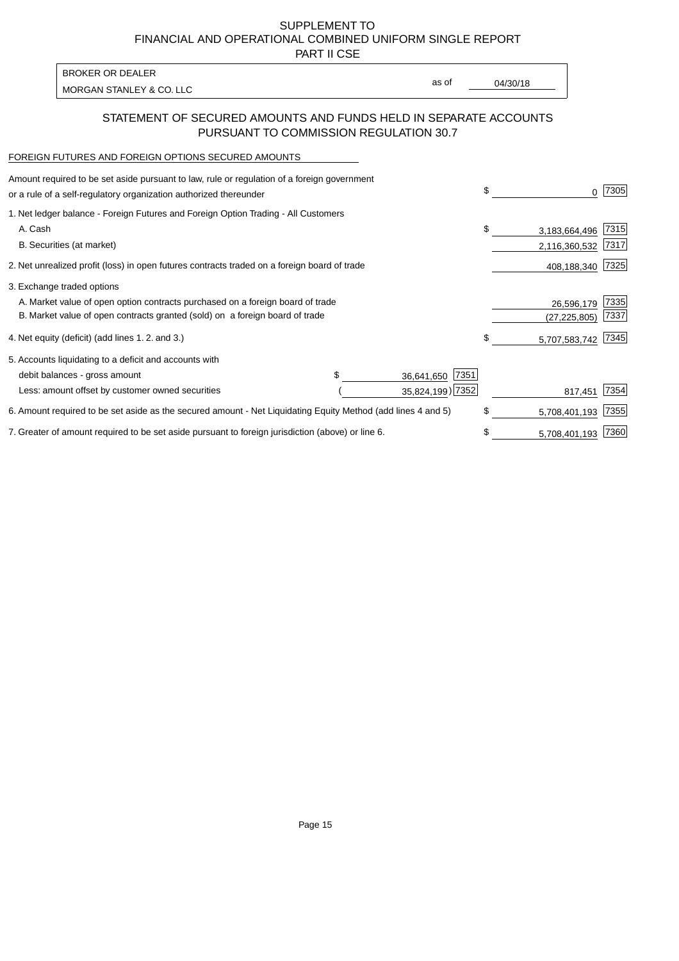PART II CSE

| BROKER OR DEALER         |       |          |
|--------------------------|-------|----------|
| MORGAN STANLEY & CO. LLC | as of | 04/30/18 |
|                          |       |          |

## STATEMENT OF SECURED AMOUNTS AND FUNDS HELD IN SEPARATE ACCOUNTS PURSUANT TO COMMISSION REGULATION 30.7

#### FOREIGN FUTURES AND FOREIGN OPTIONS SECURED AMOUNTS

| Amount required to be set aside pursuant to law, rule or regulation of a foreign government<br>or a rule of a self-regulatory organization authorized thereunder |  |                    | \$<br>0             | 7305 |
|------------------------------------------------------------------------------------------------------------------------------------------------------------------|--|--------------------|---------------------|------|
| 1. Net ledger balance - Foreign Futures and Foreign Option Trading - All Customers                                                                               |  |                    |                     |      |
| A. Cash                                                                                                                                                          |  |                    | \$<br>3,183,664,496 | 7315 |
| B. Securities (at market)                                                                                                                                        |  |                    | 2,116,360,532       | 7317 |
| 2. Net unrealized profit (loss) in open futures contracts traded on a foreign board of trade                                                                     |  |                    | 408,188,340         | 7325 |
| 3. Exchange traded options                                                                                                                                       |  |                    |                     |      |
| A. Market value of open option contracts purchased on a foreign board of trade                                                                                   |  |                    | 26,596,179          | 7335 |
| B. Market value of open contracts granted (sold) on a foreign board of trade                                                                                     |  |                    | (27, 225, 805)      | 7337 |
| 4. Net equity (deficit) (add lines 1.2. and 3.)                                                                                                                  |  |                    | \$<br>5,707,583,742 | 7345 |
| 5. Accounts liquidating to a deficit and accounts with                                                                                                           |  |                    |                     |      |
| debit balances - gross amount                                                                                                                                    |  | 7351<br>36,641,650 |                     |      |
| Less: amount offset by customer owned securities                                                                                                                 |  | 35,824,199) 7352   | 817,451             | 7354 |
| 6. Amount required to be set aside as the secured amount - Net Liquidating Equity Method (add lines 4 and 5)                                                     |  |                    | \$<br>5,708,401,193 | 7355 |
| 7. Greater of amount required to be set aside pursuant to foreign jurisdiction (above) or line 6.                                                                |  |                    | \$<br>5,708,401,193 | 7360 |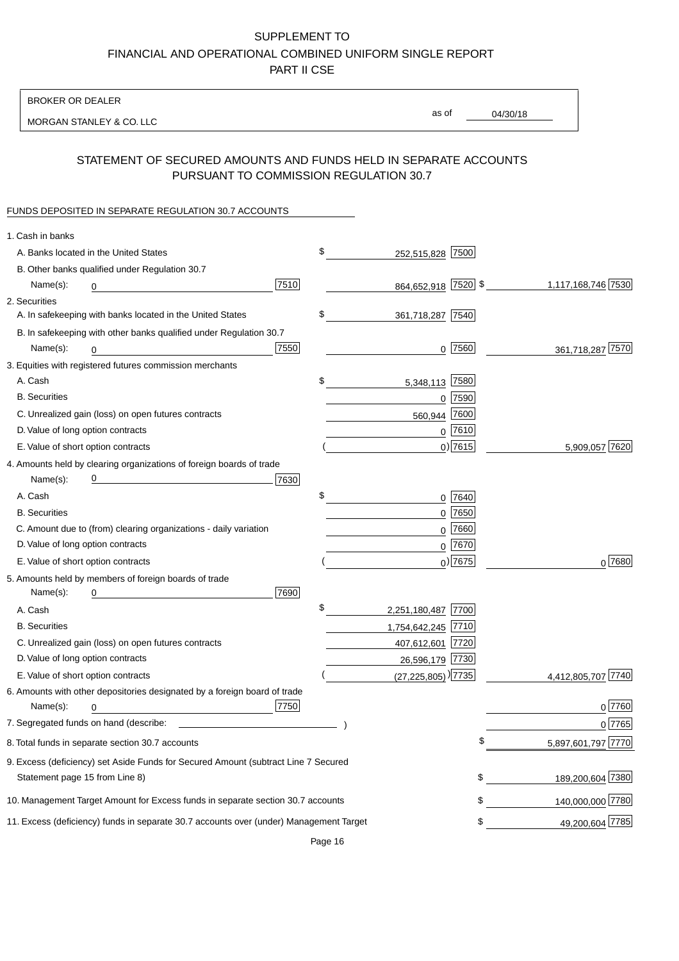BROKER OR DEALER

MORGAN STANLEY & CO. LLC

04/30/18 as of

# STATEMENT OF SECURED AMOUNTS AND FUNDS HELD IN SEPARATE ACCOUNTS PURSUANT TO COMMISSION REGULATION 30.7

### FUNDS DEPOSITED IN SEPARATE REGULATION 30.7 ACCOUNTS

| 1. Cash in banks                                                                       |                                      |             |                    |
|----------------------------------------------------------------------------------------|--------------------------------------|-------------|--------------------|
| A. Banks located in the United States                                                  | \$<br>252,515,828 7500               |             |                    |
| B. Other banks qualified under Regulation 30.7                                         |                                      |             |                    |
| 7510<br>Name(s):<br>0                                                                  | 864,652,918 7520 \$                  |             | 1,117,168,746 7530 |
| 2. Securities                                                                          |                                      |             |                    |
| A. In safekeeping with banks located in the United States                              | \$<br>361,718,287 7540               |             |                    |
| B. In safekeeping with other banks qualified under Regulation 30.7                     |                                      |             |                    |
| 7550<br>Name(s):<br>0                                                                  |                                      | $0$  7560   | 361,718,287 7570   |
| 3. Equities with registered futures commission merchants                               |                                      |             |                    |
| A. Cash                                                                                | \$<br>5,348,113 7580                 |             |                    |
| <b>B.</b> Securities                                                                   | 0                                    | 7590        |                    |
| C. Unrealized gain (loss) on open futures contracts                                    | 560,944                              | 7600        |                    |
| D. Value of long option contracts                                                      |                                      | $0$ 7610    |                    |
| E. Value of short option contracts                                                     |                                      | $0$ ) 7615  | 5,909,057 7620     |
| 4. Amounts held by clearing organizations of foreign boards of trade                   |                                      |             |                    |
| <u> 1980 - Johann Barn, mars an t-Amerikaansk kommunister (</u><br>7630<br>Name(s):    |                                      |             |                    |
| A. Cash                                                                                | \$                                   | 0 7640      |                    |
| <b>B.</b> Securities                                                                   |                                      | $0$ 7650    |                    |
| C. Amount due to (from) clearing organizations - daily variation                       |                                      | $0$ 7660    |                    |
| D. Value of long option contracts                                                      |                                      | $0$ 7670    |                    |
| E. Value of short option contracts                                                     |                                      | $_0$ ) 7675 | $0^{7680}$         |
| 5. Amounts held by members of foreign boards of trade                                  |                                      |             |                    |
| 7690<br>Name(s):<br>0                                                                  |                                      |             |                    |
| A. Cash                                                                                | \$<br>2,251,180,487 7700             |             |                    |
| <b>B.</b> Securities                                                                   | 1,754,642,245 7710                   |             |                    |
| C. Unrealized gain (loss) on open futures contracts                                    | 407,612,601 7720                     |             |                    |
| D. Value of long option contracts                                                      | 26,596,179 7730                      |             |                    |
| E. Value of short option contracts                                                     | $(27, 225, 805)$ <sup>)</sup> [7735] |             | 4,412,805,707 7740 |
| 6. Amounts with other depositories designated by a foreign board of trade              |                                      |             |                    |
| 7750<br>Name(s):<br>0                                                                  |                                      |             | 0 7760             |
| 7. Segregated funds on hand (describe: _                                               |                                      |             | 0 7765             |
| 8. Total funds in separate section 30.7 accounts                                       |                                      | ¢           | 5,897,601,797 7770 |
| 9. Excess (deficiency) set Aside Funds for Secured Amount (subtract Line 7 Secured     |                                      |             |                    |
| Statement page 15 from Line 8)                                                         |                                      | \$          | 189,200,604 7380   |
| 10. Management Target Amount for Excess funds in separate section 30.7 accounts        |                                      | \$          | 140,000,000 7780   |
| 11. Excess (deficiency) funds in separate 30.7 accounts over (under) Management Target |                                      | \$          | 49,200,604 7785    |